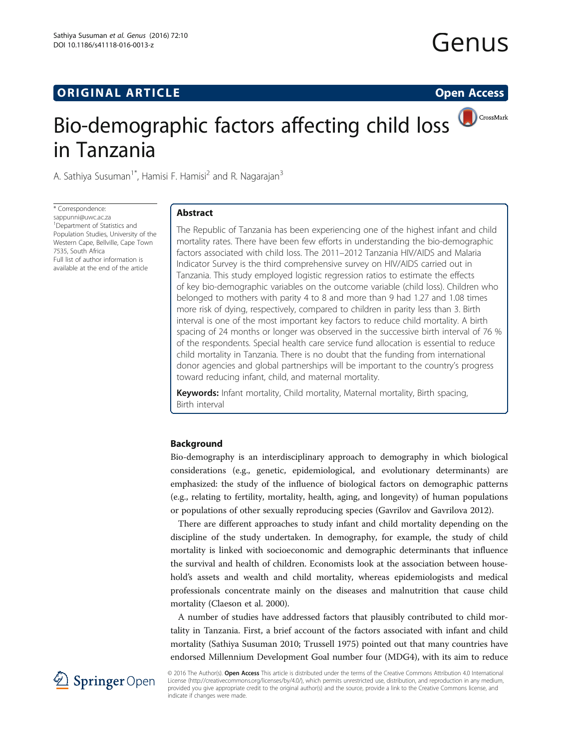## **ORIGINAL ARTICLE CONSERVANCE IN A LOCAL CONSERVANCE IN A LOCAL CONSERVANCE IN A LOCAL CONSERVANCE IN A LOCAL CONSERVANCE IN A LOCAL CONSERVANCE IN A LOCAL CONSERVANCE IN A LOCAL CONSERVANCE IN A LOCAL CONSERVANCE IN A L**

# Genus

## Bio-demographic factors affecting child loss in Tanzania

A. Sathiya Susuman<sup>1\*</sup>, Hamisi F. Hamisi<sup>2</sup> and R. Nagarajan<sup>3</sup>

\* Correspondence: [sappunni@uwc.ac.za](mailto:sappunni@uwc.ac.za) <sup>1</sup> Department of Statistics and Population Studies, University of the Western Cape, Bellville, Cape Town 7535, South Africa Full list of author information is available at the end of the article

## Abstract

The Republic of Tanzania has been experiencing one of the highest infant and child mortality rates. There have been few efforts in understanding the bio-demographic factors associated with child loss. The 2011–2012 Tanzania HIV/AIDS and Malaria Indicator Survey is the third comprehensive survey on HIV/AIDS carried out in Tanzania. This study employed logistic regression ratios to estimate the effects of key bio-demographic variables on the outcome variable (child loss). Children who belonged to mothers with parity 4 to 8 and more than 9 had 1.27 and 1.08 times more risk of dying, respectively, compared to children in parity less than 3. Birth interval is one of the most important key factors to reduce child mortality. A birth spacing of 24 months or longer was observed in the successive birth interval of 76 % of the respondents. Special health care service fund allocation is essential to reduce child mortality in Tanzania. There is no doubt that the funding from international donor agencies and global partnerships will be important to the country's progress toward reducing infant, child, and maternal mortality.

Keywords: Infant mortality, Child mortality, Maternal mortality, Birth spacing, Birth interval

## Background

Bio-demography is an interdisciplinary approach to demography in which biological considerations (e.g., genetic, epidemiological, and evolutionary determinants) are emphasized: the study of the influence of biological factors on demographic patterns (e.g., relating to fertility, mortality, health, aging, and longevity) of human populations or populations of other sexually reproducing species (Gavrilov and Gavrilova [2012](#page-11-0)).

There are different approaches to study infant and child mortality depending on the discipline of the study undertaken. In demography, for example, the study of child mortality is linked with socioeconomic and demographic determinants that influence the survival and health of children. Economists look at the association between household's assets and wealth and child mortality, whereas epidemiologists and medical professionals concentrate mainly on the diseases and malnutrition that cause child mortality (Claeson et al. [2000](#page-11-0)).

A number of studies have addressed factors that plausibly contributed to child mortality in Tanzania. First, a brief account of the factors associated with infant and child mortality (Sathiya Susuman [2010;](#page-11-0) Trussell [1975](#page-11-0)) pointed out that many countries have endorsed Millennium Development Goal number four (MDG4), with its aim to reduce



© 2016 The Author(s). Open Access This article is distributed under the terms of the Creative Commons Attribution 4.0 International License [\(http://creativecommons.org/licenses/by/4.0/](http://creativecommons.org/licenses/by/4.0/)), which permits unrestricted use, distribution, and reproduction in any medium, provided you give appropriate credit to the original author(s) and the source, provide a link to the Creative Commons license, and indicate if changes were made.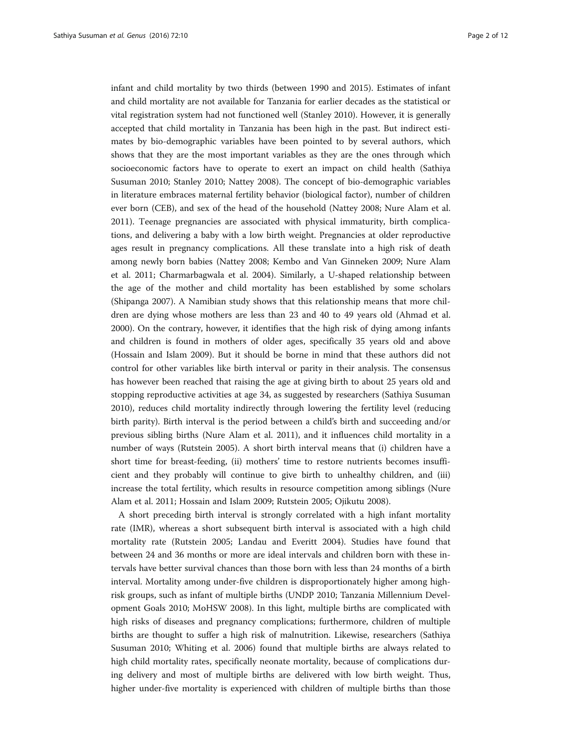infant and child mortality by two thirds (between 1990 and 2015). Estimates of infant and child mortality are not available for Tanzania for earlier decades as the statistical or vital registration system had not functioned well (Stanley [2010\)](#page-11-0). However, it is generally accepted that child mortality in Tanzania has been high in the past. But indirect estimates by bio-demographic variables have been pointed to by several authors, which shows that they are the most important variables as they are the ones through which socioeconomic factors have to operate to exert an impact on child health (Sathiya Susuman [2010](#page-11-0); Stanley [2010;](#page-11-0) Nattey [2008\)](#page-11-0). The concept of bio-demographic variables in literature embraces maternal fertility behavior (biological factor), number of children ever born (CEB), and sex of the head of the household (Nattey [2008](#page-11-0); Nure Alam et al. [2011](#page-11-0)). Teenage pregnancies are associated with physical immaturity, birth complications, and delivering a baby with a low birth weight. Pregnancies at older reproductive ages result in pregnancy complications. All these translate into a high risk of death among newly born babies (Nattey [2008](#page-11-0); Kembo and Van Ginneken [2009;](#page-11-0) Nure Alam et al. [2011;](#page-11-0) Charmarbagwala et al. [2004](#page-11-0)). Similarly, a U-shaped relationship between the age of the mother and child mortality has been established by some scholars (Shipanga [2007\)](#page-11-0). A Namibian study shows that this relationship means that more children are dying whose mothers are less than 23 and 40 to 49 years old (Ahmad et al. [2000](#page-10-0)). On the contrary, however, it identifies that the high risk of dying among infants and children is found in mothers of older ages, specifically 35 years old and above (Hossain and Islam [2009\)](#page-11-0). But it should be borne in mind that these authors did not control for other variables like birth interval or parity in their analysis. The consensus has however been reached that raising the age at giving birth to about 25 years old and stopping reproductive activities at age 34, as suggested by researchers (Sathiya Susuman [2010](#page-11-0)), reduces child mortality indirectly through lowering the fertility level (reducing birth parity). Birth interval is the period between a child's birth and succeeding and/or previous sibling births (Nure Alam et al. [2011\)](#page-11-0), and it influences child mortality in a number of ways (Rutstein [2005\)](#page-11-0). A short birth interval means that (i) children have a short time for breast-feeding, (ii) mothers' time to restore nutrients becomes insufficient and they probably will continue to give birth to unhealthy children, and (iii) increase the total fertility, which results in resource competition among siblings (Nure Alam et al. [2011;](#page-11-0) Hossain and Islam [2009](#page-11-0); Rutstein [2005;](#page-11-0) Ojikutu [2008\)](#page-11-0).

A short preceding birth interval is strongly correlated with a high infant mortality rate (IMR), whereas a short subsequent birth interval is associated with a high child mortality rate (Rutstein [2005](#page-11-0); Landau and Everitt [2004](#page-11-0)). Studies have found that between 24 and 36 months or more are ideal intervals and children born with these intervals have better survival chances than those born with less than 24 months of a birth interval. Mortality among under-five children is disproportionately higher among highrisk groups, such as infant of multiple births (UNDP [2010](#page-11-0); Tanzania Millennium Development Goals [2010;](#page-11-0) MoHSW [2008\)](#page-11-0). In this light, multiple births are complicated with high risks of diseases and pregnancy complications; furthermore, children of multiple births are thought to suffer a high risk of malnutrition. Likewise, researchers (Sathiya Susuman [2010;](#page-11-0) Whiting et al. [2006\)](#page-11-0) found that multiple births are always related to high child mortality rates, specifically neonate mortality, because of complications during delivery and most of multiple births are delivered with low birth weight. Thus, higher under-five mortality is experienced with children of multiple births than those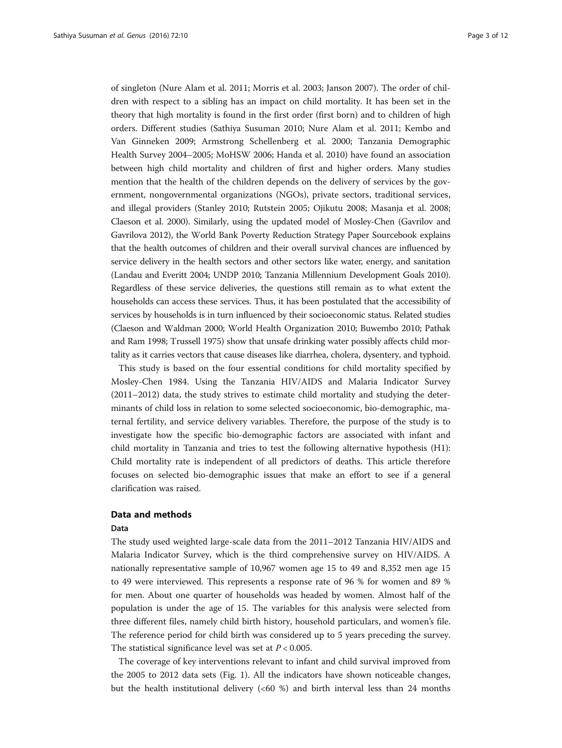of singleton (Nure Alam et al. [2011;](#page-11-0) Morris et al. [2003](#page-11-0); Janson [2007\)](#page-11-0). The order of children with respect to a sibling has an impact on child mortality. It has been set in the theory that high mortality is found in the first order (first born) and to children of high orders. Different studies (Sathiya Susuman [2010;](#page-11-0) Nure Alam et al. [2011;](#page-11-0) Kembo and Van Ginneken [2009](#page-11-0); Armstrong Schellenberg et al. [2000](#page-10-0); Tanzania Demographic Health Survey [2004](#page-11-0)–[2005;](#page-11-0) MoHSW [2006](#page-11-0); Handa et al. [2010\)](#page-11-0) have found an association between high child mortality and children of first and higher orders. Many studies mention that the health of the children depends on the delivery of services by the government, nongovernmental organizations (NGOs), private sectors, traditional services, and illegal providers (Stanley [2010](#page-11-0); Rutstein [2005](#page-11-0); Ojikutu [2008](#page-11-0); Masanja et al. [2008](#page-11-0); Claeson et al. [2000](#page-11-0)). Similarly, using the updated model of Mosley-Chen (Gavrilov and Gavrilova [2012](#page-11-0)), the World Bank Poverty Reduction Strategy Paper Sourcebook explains that the health outcomes of children and their overall survival chances are influenced by service delivery in the health sectors and other sectors like water, energy, and sanitation (Landau and Everitt [2004;](#page-11-0) UNDP [2010](#page-11-0); Tanzania Millennium Development Goals [2010](#page-11-0)). Regardless of these service deliveries, the questions still remain as to what extent the households can access these services. Thus, it has been postulated that the accessibility of services by households is in turn influenced by their socioeconomic status. Related studies (Claeson and Waldman [2000](#page-11-0); World Health Organization [2010](#page-11-0); Buwembo [2010;](#page-11-0) Pathak and Ram [1998;](#page-11-0) Trussell [1975\)](#page-11-0) show that unsafe drinking water possibly affects child mortality as it carries vectors that cause diseases like diarrhea, cholera, dysentery, and typhoid.

This study is based on the four essential conditions for child mortality specified by Mosley-Chen 1984. Using the Tanzania HIV/AIDS and Malaria Indicator Survey ([2011](#page-11-0)–[2012\)](#page-11-0) data, the study strives to estimate child mortality and studying the determinants of child loss in relation to some selected socioeconomic, bio-demographic, maternal fertility, and service delivery variables. Therefore, the purpose of the study is to investigate how the specific bio-demographic factors are associated with infant and child mortality in Tanzania and tries to test the following alternative hypothesis (H1): Child mortality rate is independent of all predictors of deaths. This article therefore focuses on selected bio-demographic issues that make an effort to see if a general clarification was raised.

## Data and methods

#### Data

The study used weighted large-scale data from the [2011](#page-11-0)–[2012](#page-11-0) Tanzania HIV/AIDS and Malaria Indicator Survey, which is the third comprehensive survey on HIV/AIDS. A nationally representative sample of 10,967 women age 15 to 49 and 8,352 men age 15 to 49 were interviewed. This represents a response rate of 96 % for women and 89 % for men. About one quarter of households was headed by women. Almost half of the population is under the age of 15. The variables for this analysis were selected from three different files, namely child birth history, household particulars, and women's file. The reference period for child birth was considered up to 5 years preceding the survey. The statistical significance level was set at  $P < 0.005$ .

The coverage of key interventions relevant to infant and child survival improved from the 2005 to 2012 data sets (Fig. [1](#page-3-0)). All the indicators have shown noticeable changes, but the health institutional delivery (<60 %) and birth interval less than 24 months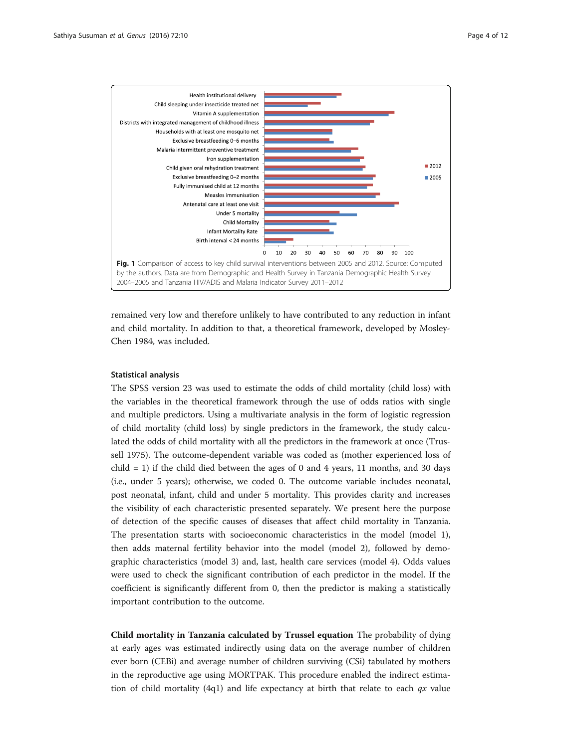<span id="page-3-0"></span>

remained very low and therefore unlikely to have contributed to any reduction in infant and child mortality. In addition to that, a theoretical framework, developed by Mosley-Chen 1984, was included.

## Statistical analysis

The SPSS version 23 was used to estimate the odds of child mortality (child loss) with the variables in the theoretical framework through the use of odds ratios with single and multiple predictors. Using a multivariate analysis in the form of logistic regression of child mortality (child loss) by single predictors in the framework, the study calculated the odds of child mortality with all the predictors in the framework at once (Trussell [1975](#page-11-0)). The outcome-dependent variable was coded as (mother experienced loss of child  $= 1$ ) if the child died between the ages of 0 and 4 years, 11 months, and 30 days (i.e., under 5 years); otherwise, we coded 0. The outcome variable includes neonatal, post neonatal, infant, child and under 5 mortality. This provides clarity and increases the visibility of each characteristic presented separately. We present here the purpose of detection of the specific causes of diseases that affect child mortality in Tanzania. The presentation starts with socioeconomic characteristics in the model (model 1), then adds maternal fertility behavior into the model (model 2), followed by demographic characteristics (model 3) and, last, health care services (model 4). Odds values were used to check the significant contribution of each predictor in the model. If the coefficient is significantly different from 0, then the predictor is making a statistically important contribution to the outcome.

Child mortality in Tanzania calculated by Trussel equation The probability of dying at early ages was estimated indirectly using data on the average number of children ever born (CEBi) and average number of children surviving (CSi) tabulated by mothers in the reproductive age using MORTPAK. This procedure enabled the indirect estimation of child mortality (4q1) and life expectancy at birth that relate to each  $qx$  value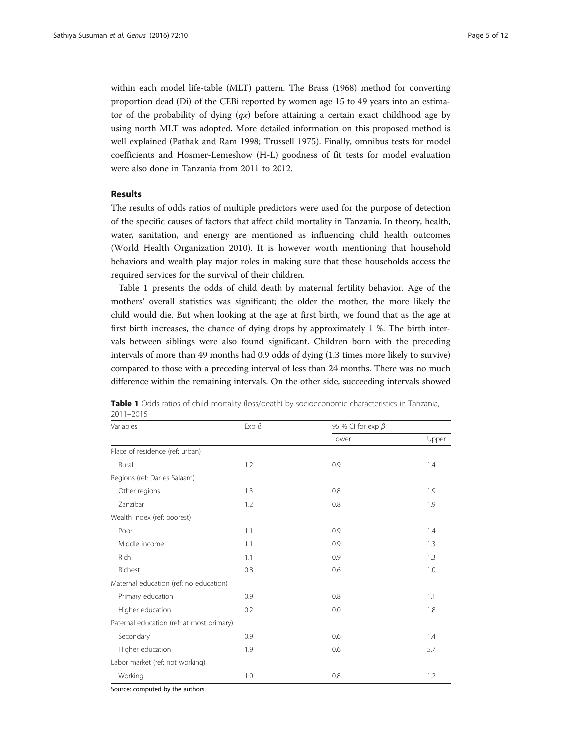within each model life-table (MLT) pattern. The Brass ([1968](#page-10-0)) method for converting proportion dead (Di) of the CEBi reported by women age 15 to 49 years into an estimator of the probability of dying  $(qx)$  before attaining a certain exact childhood age by using north MLT was adopted. More detailed information on this proposed method is well explained (Pathak and Ram [1998](#page-11-0); Trussell [1975](#page-11-0)). Finally, omnibus tests for model coefficients and Hosmer-Lemeshow (H-L) goodness of fit tests for model evaluation were also done in Tanzania from 2011 to 2012.

## Results

The results of odds ratios of multiple predictors were used for the purpose of detection of the specific causes of factors that affect child mortality in Tanzania. In theory, health, water, sanitation, and energy are mentioned as influencing child health outcomes (World Health Organization [2010](#page-11-0)). It is however worth mentioning that household behaviors and wealth play major roles in making sure that these households access the required services for the survival of their children.

Table 1 presents the odds of child death by maternal fertility behavior. Age of the mothers' overall statistics was significant; the older the mother, the more likely the child would die. But when looking at the age at first birth, we found that as the age at first birth increases, the chance of dying drops by approximately 1 %. The birth intervals between siblings were also found significant. Children born with the preceding intervals of more than 49 months had 0.9 odds of dying (1.3 times more likely to survive) compared to those with a preceding interval of less than 24 months. There was no much difference within the remaining intervals. On the other side, succeeding intervals showed

| Variables                                 | Exp $\beta$ | 95 % CI for exp $\beta$ |       |  |  |
|-------------------------------------------|-------------|-------------------------|-------|--|--|
|                                           |             | Lower                   | Upper |  |  |
| Place of residence (ref: urban)           |             |                         |       |  |  |
| Rural                                     | 1.2         | 0.9                     | 1.4   |  |  |
| Regions (ref: Dar es Salaam)              |             |                         |       |  |  |
| Other regions                             | 1.3         | 0.8                     | 1.9   |  |  |
| Zanzibar                                  | 1.2         | 0.8                     | 1.9   |  |  |
| Wealth index (ref: poorest)               |             |                         |       |  |  |
| Poor                                      | 1.1         | 0.9                     | 1.4   |  |  |
| Middle income                             | 1.1         | 0.9                     | 1.3   |  |  |
| Rich                                      | 1.1         | 0.9                     | 1.3   |  |  |
| Richest                                   | 0.8         | 0.6                     | 1.0   |  |  |
| Maternal education (ref: no education)    |             |                         |       |  |  |
| Primary education                         | 0.9         | 0.8                     | 1.1   |  |  |
| Higher education                          | 0.2         | 0.0                     | 1.8   |  |  |
| Paternal education (ref: at most primary) |             |                         |       |  |  |
| Secondary                                 | 0.9         | 0.6                     | 1.4   |  |  |
| Higher education                          | 1.9         | 0.6                     | 5.7   |  |  |
| Labor market (ref: not working)           |             |                         |       |  |  |
| Working                                   | 1.0         | 0.8                     | 1.2   |  |  |

Table 1 Odds ratios of child mortality (loss/death) by socioeconomic characteristics in Tanzania, 2011–2015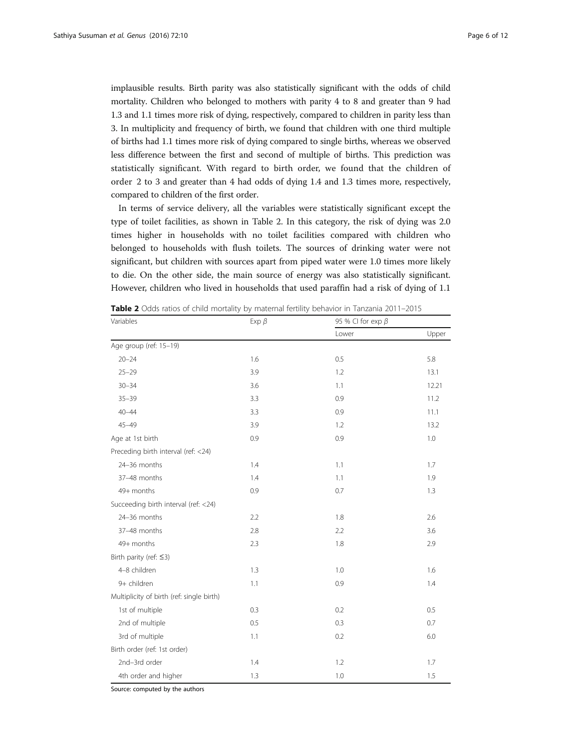implausible results. Birth parity was also statistically significant with the odds of child mortality. Children who belonged to mothers with parity 4 to 8 and greater than 9 had 1.3 and 1.1 times more risk of dying, respectively, compared to children in parity less than 3. In multiplicity and frequency of birth, we found that children with one third multiple of births had 1.1 times more risk of dying compared to single births, whereas we observed less difference between the first and second of multiple of births. This prediction was statistically significant. With regard to birth order, we found that the children of order 2 to 3 and greater than 4 had odds of dying 1.4 and 1.3 times more, respectively, compared to children of the first order.

In terms of service delivery, all the variables were statistically significant except the type of toilet facilities, as shown in Table 2. In this category, the risk of dying was 2.0 times higher in households with no toilet facilities compared with children who belonged to households with flush toilets. The sources of drinking water were not significant, but children with sources apart from piped water were 1.0 times more likely to die. On the other side, the main source of energy was also statistically significant. However, children who lived in households that used paraffin had a risk of dying of 1.1

| Variables                                 | Exp $\beta$ | 95 % CI for exp $\beta$ |       |  |  |
|-------------------------------------------|-------------|-------------------------|-------|--|--|
|                                           |             | Lower                   | Upper |  |  |
| Age group (ref: 15-19)                    |             |                         |       |  |  |
| $20 - 24$                                 | 1.6         | 0.5                     | 5.8   |  |  |
| $25 - 29$                                 | 3.9         | 1.2                     | 13.1  |  |  |
| $30 - 34$                                 | 3.6         | 1.1                     | 12.21 |  |  |
| $35 - 39$                                 | 3.3         | 0.9                     | 11.2  |  |  |
| $40 - 44$                                 | 3.3         | 0.9                     | 11.1  |  |  |
| $45 - 49$                                 | 3.9         | 1.2                     | 13.2  |  |  |
| Age at 1st birth                          | 0.9         | 0.9                     | 1.0   |  |  |
| Preceding birth interval (ref: <24)       |             |                         |       |  |  |
| 24-36 months                              | 1.4         | 1.1                     | 1.7   |  |  |
| 37-48 months                              | 1.4         | 1.1                     | 1.9   |  |  |
| 49+ months                                | 0.9         | 0.7                     | 1.3   |  |  |
| Succeeding birth interval (ref: <24)      |             |                         |       |  |  |
| 24-36 months                              | 2.2         | 1.8                     | 2.6   |  |  |
| 37-48 months                              | 2.8         | 2.2                     | 3.6   |  |  |
| 49+ months                                | 2.3         | 1.8                     | 2.9   |  |  |
| Birth parity (ref: $\leq$ 3)              |             |                         |       |  |  |
| 4-8 children                              | 1.3         | 1.0                     | 1.6   |  |  |
| 9+ children                               | 1.1         | 0.9                     | 1.4   |  |  |
| Multiplicity of birth (ref: single birth) |             |                         |       |  |  |
| 1st of multiple                           | 0.3         | 0.2                     | 0.5   |  |  |
| 2nd of multiple                           | 0.5         | 0.3                     | 0.7   |  |  |
| 3rd of multiple                           | 1.1         | 0.2                     | 6.0   |  |  |
| Birth order (ref: 1st order)              |             |                         |       |  |  |
| 2nd-3rd order                             | 1.4         | 1.2                     | 1.7   |  |  |
| 4th order and higher                      | 1.3         | 1.0                     | 1.5   |  |  |

**Table 2** Odds ratios of child mortality by maternal fertility behavior in Tanzania 2011–2015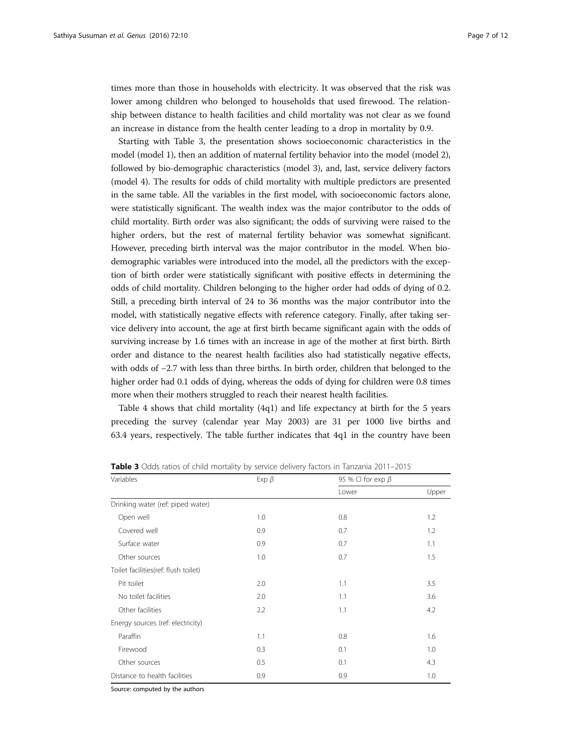times more than those in households with electricity. It was observed that the risk was lower among children who belonged to households that used firewood. The relationship between distance to health facilities and child mortality was not clear as we found an increase in distance from the health center leading to a drop in mortality by 0.9.

Starting with Table 3, the presentation shows socioeconomic characteristics in the model (model 1), then an addition of maternal fertility behavior into the model (model 2), followed by bio-demographic characteristics (model 3), and, last, service delivery factors (model 4). The results for odds of child mortality with multiple predictors are presented in the same table. All the variables in the first model, with socioeconomic factors alone, were statistically significant. The wealth index was the major contributor to the odds of child mortality. Birth order was also significant; the odds of surviving were raised to the higher orders, but the rest of maternal fertility behavior was somewhat significant. However, preceding birth interval was the major contributor in the model. When biodemographic variables were introduced into the model, all the predictors with the exception of birth order were statistically significant with positive effects in determining the odds of child mortality. Children belonging to the higher order had odds of dying of 0.2. Still, a preceding birth interval of 24 to 36 months was the major contributor into the model, with statistically negative effects with reference category. Finally, after taking service delivery into account, the age at first birth became significant again with the odds of surviving increase by 1.6 times with an increase in age of the mother at first birth. Birth order and distance to the nearest health facilities also had statistically negative effects, with odds of −2.7 with less than three births. In birth order, children that belonged to the higher order had 0.1 odds of dying, whereas the odds of dying for children were 0.8 times more when their mothers struggled to reach their nearest health facilities.

Table [4](#page-7-0) shows that child mortality (4q1) and life expectancy at birth for the 5 years preceding the survey (calendar year May 2003) are 31 per 1000 live births and 63.4 years, respectively. The table further indicates that 4q1 in the country have been

| Variables                            | Exp $\beta$ | 95 % CI for $exp \beta$ |       |  |  |
|--------------------------------------|-------------|-------------------------|-------|--|--|
|                                      |             | Lower                   | Upper |  |  |
| Drinking water (ref: piped water)    |             |                         |       |  |  |
| Open well                            | 1.0         | 0.8                     | 1.2   |  |  |
| Covered well                         | 0.9         | 0.7                     | 1.2   |  |  |
| Surface water                        | 0.9         | 0.7                     | 1.1   |  |  |
| Other sources                        | 1.0         | 0.7                     | 1.5   |  |  |
| Toilet facilities(ref: flush toilet) |             |                         |       |  |  |
| Pit toilet                           | 2.0         | 1.1                     | 3.5   |  |  |
| No toilet facilities                 | 2.0         | 1.1                     | 3.6   |  |  |
| Other facilities                     | 2.2         | 1.1                     | 4.2   |  |  |
| Energy sources (ref: electricity)    |             |                         |       |  |  |
| Paraffin                             | 1.1         | 0.8                     | 1.6   |  |  |
| Firewood                             | 0.3         | 0.1                     | 1.0   |  |  |
| Other sources                        | 0.5         | 0.1                     | 4.3   |  |  |
| Distance to health facilities        | 0.9         | 0.9                     | 1.0   |  |  |

**Table 3** Odds ratios of child mortality by service delivery factors in Tanzania 2011–2015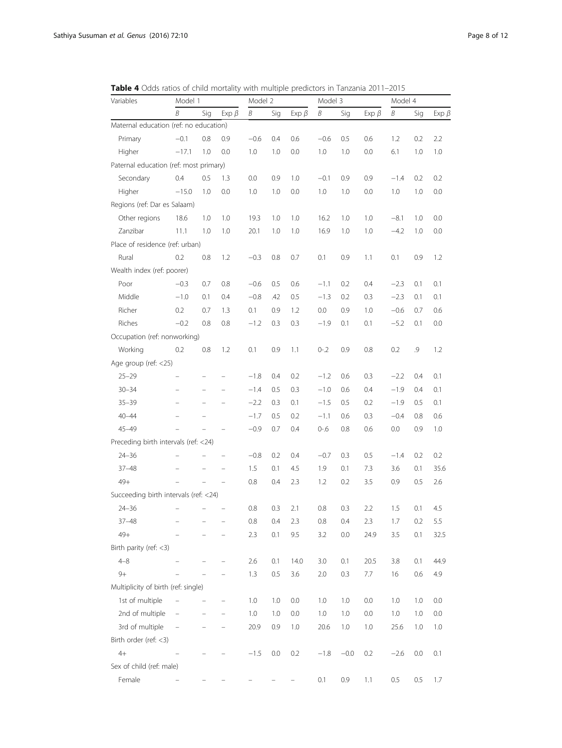<span id="page-7-0"></span>Table 4 Odds ratios of child mortality with multiple predictors in Tanzania 2011–2015

| Variables                              | Model 1                  |                   |                          | Model 2 |     |             | Model 3 |        |             | Model 4 |     |             |
|----------------------------------------|--------------------------|-------------------|--------------------------|---------|-----|-------------|---------|--------|-------------|---------|-----|-------------|
|                                        | B                        | Sig               | Exp $\beta$              | B       | Sig | Exp $\beta$ | Β       | Sig    | Exp $\beta$ | Β       | Sig | Exp $\beta$ |
| Maternal education (ref: no education) |                          |                   |                          |         |     |             |         |        |             |         |     |             |
| Primary                                | $-0.1$                   | 0.8               | 0.9                      | $-0.6$  | 0.4 | 0.6         | $-0.6$  | 0.5    | 0.6         | 1.2     | 0.2 | 2.2         |
| Higher                                 | $-17.1$                  | 1.0               | 0.0                      | 1.0     | 1.0 | 0.0         | 1.0     | 1.0    | 0.0         | 6.1     | 1.0 | 1.0         |
| Paternal education (ref: most primary) |                          |                   |                          |         |     |             |         |        |             |         |     |             |
| Secondary                              | 0.4                      | 0.5               | 1.3                      | 0.0     | 0.9 | 1.0         | $-0.1$  | 0.9    | 0.9         | $-1.4$  | 0.2 | 0.2         |
| Higher                                 | $-15.0$                  | 1.0               | 0.0                      | 1.0     | 1.0 | 0.0         | 1.0     | 1.0    | 0.0         | 1.0     | 1.0 | 0.0         |
| Regions (ref: Dar es Salaam)           |                          |                   |                          |         |     |             |         |        |             |         |     |             |
| Other regions                          | 18.6                     | 1.0               | 1.0                      | 19.3    | 1.0 | 1.0         | 16.2    | 1.0    | 1.0         | $-8.1$  | 1.0 | 0.0         |
| Zanzibar                               | 11.1                     | 1.0               | 1.0                      | 20.1    | 1.0 | 1.0         | 16.9    | 1.0    | 1.0         | $-4.2$  | 1.0 | 0.0         |
| Place of residence (ref: urban)        |                          |                   |                          |         |     |             |         |        |             |         |     |             |
| Rural                                  | 0.2                      | 0.8               | 1.2                      | $-0.3$  | 0.8 | 0.7         | 0.1     | 0.9    | 1.1         | 0.1     | 0.9 | 1.2         |
| Wealth index (ref: poorer)             |                          |                   |                          |         |     |             |         |        |             |         |     |             |
| Poor                                   | $-0.3$                   | 0.7               | 0.8                      | $-0.6$  | 0.5 | 0.6         | $-1.1$  | 0.2    | 0.4         | $-2.3$  | 0.1 | 0.1         |
| Middle                                 | $-1.0$                   | 0.1               | 0.4                      | $-0.8$  | .42 | 0.5         | $-1.3$  | 0.2    | 0.3         | $-2.3$  | 0.1 | 0.1         |
| Richer                                 | 0.2                      | 0.7               | 1.3                      | 0.1     | 0.9 | 1.2         | 0.0     | 0.9    | 1.0         | $-0.6$  | 0.7 | 0.6         |
| Riches                                 | $-0.2$                   | 0.8               | 0.8                      | $-1.2$  | 0.3 | 0.3         | $-1.9$  | 0.1    | 0.1         | $-5.2$  | 0.1 | 0.0         |
| Occupation (ref: nonworking)           |                          |                   |                          |         |     |             |         |        |             |         |     |             |
| Working                                | 0.2                      | 0.8               | 1.2                      | 0.1     | 0.9 | 1.1         | $0 - 2$ | 0.9    | 0.8         | 0.2     | .9  | 1.2         |
| Age group (ref: <25)                   |                          |                   |                          |         |     |             |         |        |             |         |     |             |
| $25 - 29$                              |                          |                   |                          | $-1.8$  | 0.4 | 0.2         | $-1.2$  | 0.6    | 0.3         | $-2.2$  | 0.4 | 0.1         |
| $30 - 34$                              |                          |                   |                          | $-1.4$  | 0.5 | 0.3         | $-1.0$  | 0.6    | 0.4         | $-1.9$  | 0.4 | 0.1         |
| $35 - 39$                              |                          | $\qquad \qquad -$ | $\overline{\phantom{0}}$ | $-2.2$  | 0.3 | 0.1         | $-1.5$  | 0.5    | 0.2         | $-1.9$  | 0.5 | 0.1         |
| $40 - 44$                              |                          |                   |                          | $-1.7$  | 0.5 | 0.2         | $-1.1$  | 0.6    | 0.3         | $-0.4$  | 0.8 | 0.6         |
| $45 - 49$                              |                          |                   |                          | $-0.9$  | 0.7 | 0.4         | $0 - 6$ | 0.8    | 0.6         | 0.0     | 0.9 | 1.0         |
| Preceding birth intervals (ref: <24)   |                          |                   |                          |         |     |             |         |        |             |         |     |             |
| $24 - 36$                              |                          |                   |                          | $-0.8$  | 0.2 | 0.4         | $-0.7$  | 0.3    | 0.5         | $-1.4$  | 0.2 | 0.2         |
| $37 - 48$                              |                          |                   |                          | 1.5     | 0.1 | 4.5         | 1.9     | 0.1    | 7.3         | 3.6     | 0.1 | 35.6        |
| $49+$                                  |                          |                   | $\overline{\phantom{m}}$ | 0.8     | 0.4 | 2.3         | 1.2     | 0.2    | 3.5         | 0.9     | 0.5 | 2.6         |
| Succeeding birth intervals (ref: <24)  |                          |                   |                          |         |     |             |         |        |             |         |     |             |
| $24 - 36$                              |                          |                   |                          | 0.8     | 0.3 | 2.1         | 0.8     | 0.3    | 2.2         | 1.5     | 0.1 | 4.5         |
| $37 - 48$                              |                          |                   |                          | 0.8     | 0.4 | 2.3         | 0.8     | 0.4    | 2.3         | 1.7     | 0.2 | 5.5         |
| $49+$                                  |                          |                   |                          | 2.3     | 0.1 | 9.5         | 3.2     | 0.0    | 24.9        | 3.5     | 0.1 | 32.5        |
| Birth parity (ref: <3)                 |                          |                   |                          |         |     |             |         |        |             |         |     |             |
| $4 - 8$                                |                          |                   |                          | 2.6     | 0.1 | 14.0        | 3.0     | 0.1    | 20.5        | 3.8     | 0.1 | 44.9        |
| $9+$                                   |                          |                   |                          | 1.3     | 0.5 | 3.6         | 2.0     | 0.3    | 7.7         | 16      | 0.6 | 4.9         |
| Multiplicity of birth (ref: single)    |                          |                   |                          |         |     |             |         |        |             |         |     |             |
| 1st of multiple                        | $\overline{\phantom{0}}$ |                   |                          | 1.0     | 1.0 | 0.0         | 1.0     | 1.0    | 0.0         | 1.0     | 1.0 | 0.0         |
| 2nd of multiple                        |                          |                   |                          | 1.0     | 1.0 | 0.0         | 1.0     | 1.0    | 0.0         | 1.0     | 1.0 | 0.0         |
| 3rd of multiple                        |                          |                   |                          | 20.9    | 0.9 | 1.0         | 20.6    | 1.0    | 1.0         | 25.6    | 1.0 | 1.0         |
| Birth order (ref: <3)                  |                          |                   |                          |         |     |             |         |        |             |         |     |             |
| $4+$                                   |                          |                   |                          | $-1.5$  | 0.0 | 0.2         | $-1.8$  | $-0.0$ | 0.2         | $-2.6$  | 0.0 | 0.1         |
| Sex of child (ref: male)               |                          |                   |                          |         |     |             |         |        |             |         |     |             |
| Female                                 |                          |                   |                          |         |     |             | 0.1     | 0.9    | 1.1         | $0.5\,$ | 0.5 | 1.7         |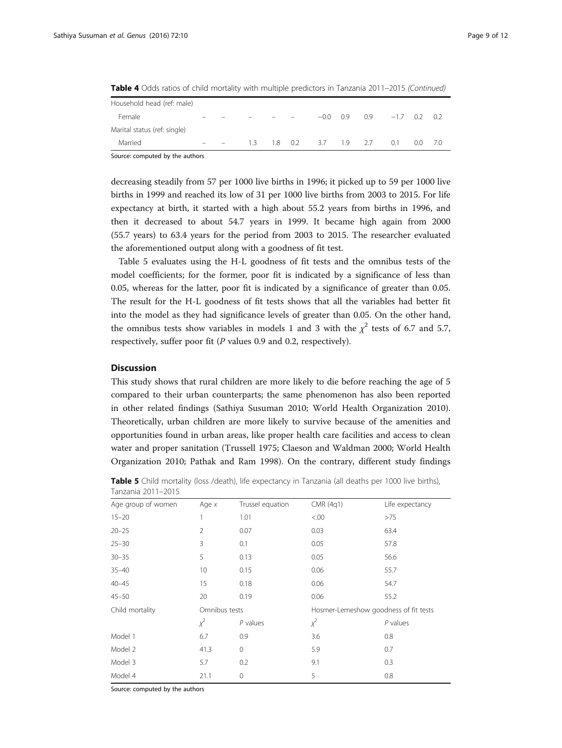| Household head (ref: male)   |  |     |    |    |        |     |     |        |     |       |
|------------------------------|--|-----|----|----|--------|-----|-----|--------|-----|-------|
| Female                       |  |     |    |    | $-0.0$ | 09  | 09  | $-1.7$ | 02  | - 0.2 |
| Marital status (ref: single) |  |     |    |    |        |     |     |        |     |       |
| Married                      |  | 13. | 18 | 02 | 3.7    | 1.9 | 2.7 | O 1    | O O | - 7.0 |
|                              |  |     |    |    |        |     |     |        |     |       |

Table 4 Odds ratios of child mortality with multiple predictors in Tanzania 2011–2015 (Continued)

Source: computed by the authors

decreasing steadily from 57 per 1000 live births in 1996; it picked up to 59 per 1000 live births in 1999 and reached its low of 31 per 1000 live births from 2003 to 2015. For life expectancy at birth, it started with a high about 55.2 years from births in 1996, and then it decreased to about 54.7 years in 1999. It became high again from 2000 (55.7 years) to 63.4 years for the period from 2003 to 2015. The researcher evaluated the aforementioned output along with a goodness of fit test.

Table 5 evaluates using the H-L goodness of fit tests and the omnibus tests of the model coefficients; for the former, poor fit is indicated by a significance of less than 0.05, whereas for the latter, poor fit is indicated by a significance of greater than 0.05. The result for the H-L goodness of fit tests shows that all the variables had better fit into the model as they had significance levels of greater than 0.05. On the other hand, the omnibus tests show variables in models 1 and 3 with the  $\chi^2$  tests of 6.7 and 5.7, respectively, suffer poor fit (P values 0.9 and 0.2, respectively).

### **Discussion**

This study shows that rural children are more likely to die before reaching the age of 5 compared to their urban counterparts; the same phenomenon has also been reported in other related findings (Sathiya Susuman [2010;](#page-11-0) World Health Organization [2010](#page-11-0)). Theoretically, urban children are more likely to survive because of the amenities and opportunities found in urban areas, like proper health care facilities and access to clean water and proper sanitation (Trussell [1975;](#page-11-0) Claeson and Waldman [2000](#page-11-0); World Health Organization [2010](#page-11-0); Pathak and Ram [1998](#page-11-0)). On the contrary, different study findings

| Table 5 Child mortality (loss /death), life expectancy in Tanzania (all deaths per 1000 live births), |  |  |  |
|-------------------------------------------------------------------------------------------------------|--|--|--|
| Tanzania 2011–2015                                                                                    |  |  |  |

| TUITZUITIU ZUTTI ZUTU |               |                  |           |                                       |  |  |
|-----------------------|---------------|------------------|-----------|---------------------------------------|--|--|
| Age group of women    | Age $x$       | Trussel equation | CMR (4q1) | Life expectancy                       |  |  |
| $15 - 20$             | 1             | 1.01             | &00.5     | >75                                   |  |  |
| $20 - 25$             | 2             | 0.07             | 0.03      | 63.4                                  |  |  |
| $25 - 30$             | 3             | 0.1              | 0.05      | 57.8                                  |  |  |
| $30 - 35$             | 5             | 0.13             | 0.05      | 56.6                                  |  |  |
| $35 - 40$             | 10            | 0.15             | 0.06      | 55.7                                  |  |  |
| $40 - 45$             | 15            | 0.18             | 0.06      | 54.7                                  |  |  |
| $45 - 50$             | 20            | 0.19             | 0.06      | 55.2                                  |  |  |
| Child mortality       | Omnibus tests |                  |           | Hosmer-Lemeshow goodness of fit tests |  |  |
|                       | $x^2$         | $P$ values       | $\chi^2$  | $P$ values                            |  |  |
| Model 1               | 6.7           | 0.9              | 3.6       | 0.8                                   |  |  |
| Model 2               | 41.3          | $\mathbf{0}$     | 5.9       | 0.7                                   |  |  |
| Model 3               | 5.7           | 9.1<br>0.2       |           | 0.3                                   |  |  |
| Model 4               | 21.1          | $\mathbf{0}$     | 5         | 0.8                                   |  |  |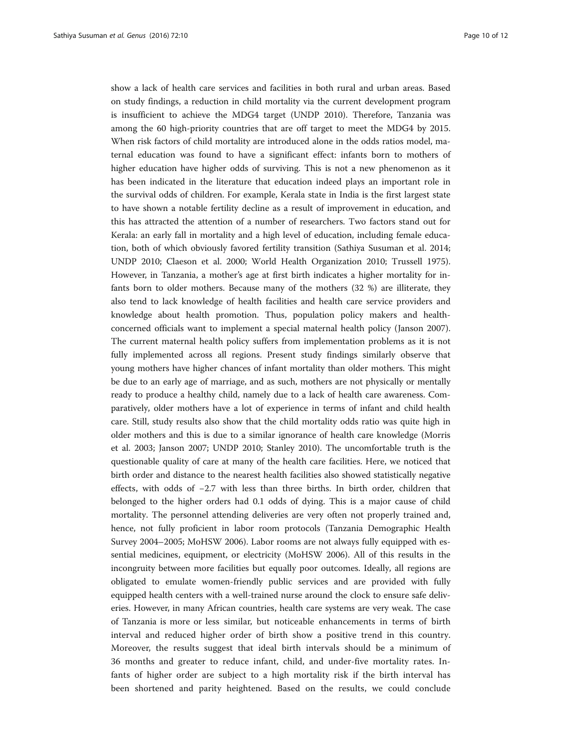show a lack of health care services and facilities in both rural and urban areas. Based on study findings, a reduction in child mortality via the current development program is insufficient to achieve the MDG4 target (UNDP [2010](#page-11-0)). Therefore, Tanzania was among the 60 high-priority countries that are off target to meet the MDG4 by 2015. When risk factors of child mortality are introduced alone in the odds ratios model, maternal education was found to have a significant effect: infants born to mothers of higher education have higher odds of surviving. This is not a new phenomenon as it has been indicated in the literature that education indeed plays an important role in the survival odds of children. For example, Kerala state in India is the first largest state to have shown a notable fertility decline as a result of improvement in education, and this has attracted the attention of a number of researchers. Two factors stand out for Kerala: an early fall in mortality and a high level of education, including female education, both of which obviously favored fertility transition (Sathiya Susuman et al. [2014](#page-11-0); UNDP [2010](#page-11-0); Claeson et al. [2000;](#page-11-0) World Health Organization [2010](#page-11-0); Trussell [1975](#page-11-0)). However, in Tanzania, a mother's age at first birth indicates a higher mortality for infants born to older mothers. Because many of the mothers (32 %) are illiterate, they also tend to lack knowledge of health facilities and health care service providers and knowledge about health promotion. Thus, population policy makers and healthconcerned officials want to implement a special maternal health policy (Janson [2007](#page-11-0)). The current maternal health policy suffers from implementation problems as it is not fully implemented across all regions. Present study findings similarly observe that young mothers have higher chances of infant mortality than older mothers. This might be due to an early age of marriage, and as such, mothers are not physically or mentally ready to produce a healthy child, namely due to a lack of health care awareness. Comparatively, older mothers have a lot of experience in terms of infant and child health care. Still, study results also show that the child mortality odds ratio was quite high in older mothers and this is due to a similar ignorance of health care knowledge (Morris et al. [2003](#page-11-0); Janson [2007](#page-11-0); UNDP [2010;](#page-11-0) Stanley [2010\)](#page-11-0). The uncomfortable truth is the questionable quality of care at many of the health care facilities. Here, we noticed that birth order and distance to the nearest health facilities also showed statistically negative effects, with odds of −2.7 with less than three births. In birth order, children that belonged to the higher orders had 0.1 odds of dying. This is a major cause of child mortality. The personnel attending deliveries are very often not properly trained and, hence, not fully proficient in labor room protocols (Tanzania Demographic Health Survey [2004](#page-11-0)–[2005](#page-11-0); MoHSW [2006\)](#page-11-0). Labor rooms are not always fully equipped with essential medicines, equipment, or electricity (MoHSW [2006\)](#page-11-0). All of this results in the incongruity between more facilities but equally poor outcomes. Ideally, all regions are obligated to emulate women-friendly public services and are provided with fully equipped health centers with a well-trained nurse around the clock to ensure safe deliveries. However, in many African countries, health care systems are very weak. The case of Tanzania is more or less similar, but noticeable enhancements in terms of birth interval and reduced higher order of birth show a positive trend in this country. Moreover, the results suggest that ideal birth intervals should be a minimum of 36 months and greater to reduce infant, child, and under-five mortality rates. Infants of higher order are subject to a high mortality risk if the birth interval has been shortened and parity heightened. Based on the results, we could conclude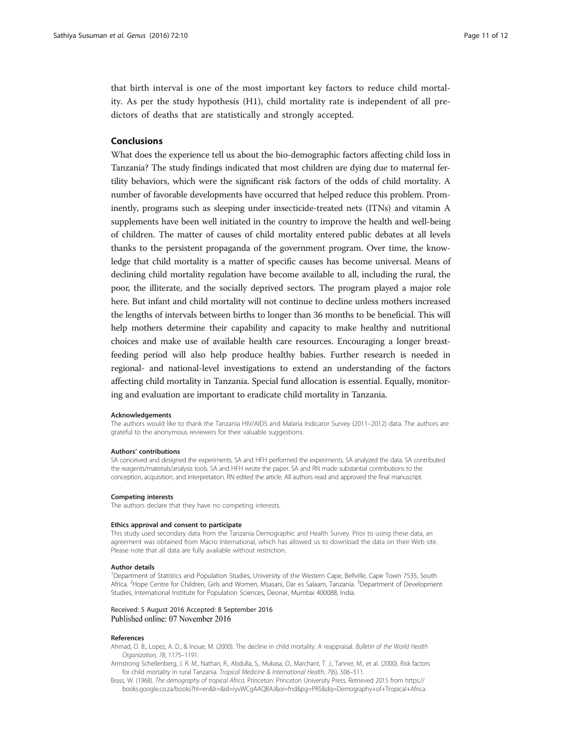<span id="page-10-0"></span>that birth interval is one of the most important key factors to reduce child mortality. As per the study hypothesis (H1), child mortality rate is independent of all predictors of deaths that are statistically and strongly accepted.

### Conclusions

What does the experience tell us about the bio-demographic factors affecting child loss in Tanzania? The study findings indicated that most children are dying due to maternal fertility behaviors, which were the significant risk factors of the odds of child mortality. A number of favorable developments have occurred that helped reduce this problem. Prominently, programs such as sleeping under insecticide-treated nets (ITNs) and vitamin A supplements have been well initiated in the country to improve the health and well-being of children. The matter of causes of child mortality entered public debates at all levels thanks to the persistent propaganda of the government program. Over time, the knowledge that child mortality is a matter of specific causes has become universal. Means of declining child mortality regulation have become available to all, including the rural, the poor, the illiterate, and the socially deprived sectors. The program played a major role here. But infant and child mortality will not continue to decline unless mothers increased the lengths of intervals between births to longer than 36 months to be beneficial. This will help mothers determine their capability and capacity to make healthy and nutritional choices and make use of available health care resources. Encouraging a longer breastfeeding period will also help produce healthy babies. Further research is needed in regional- and national-level investigations to extend an understanding of the factors affecting child mortality in Tanzania. Special fund allocation is essential. Equally, monitoring and evaluation are important to eradicate child mortality in Tanzania.

#### Acknowledgements

The authors would like to thank the Tanzania HIV/AIDS and Malaria Indicator Survey (2011–2012) data. The authors are grateful to the anonymous reviewers for their valuable suggestions.

#### Authors' contributions

SA conceived and designed the experiments. SA and HFH performed the experiments. SA analyzed the data. SA contributed the reagents/materials/analysis tools. SA and HFH wrote the paper. SA and RN made substantial contributions to the conception, acquisition, and interpretation. RN edited the article. All authors read and approved the final manuscript.

#### Competing interests

The authors declare that they have no competing interests.

#### Ethics approval and consent to participate

This study used secondary data from the Tanzania Demographic and Health Survey. Prior to using these data, an agreement was obtained from Macro International, which has allowed us to download the data on their Web site. Please note that all data are fully available without restriction.

#### Author details

<sup>1</sup>Department of Statistics and Population Studies, University of the Western Cape, Bellville, Cape Town 7535, South Africa. <sup>2</sup>Hope Centre for Children, Girls and Women, Msasani, Dar es Salaam, Tanzania. <sup>3</sup>Department of Development Studies, International Institute for Population Sciences, Deonar, Mumbai 400088, India.

#### Received: 5 August 2016 Accepted: 8 September 2016 Published online: 07 November 2016

#### References

Ahmad, O. B., Lopez, A. D., & Inoue, M. (2000). The decline in child mortality: A reappraisal. Bulletin of the World Health Organization, 78, 1175–1191.

- Armstrong Schellenberg, J. R. M., Nathan, R., Abdulla, S., Mukasa, O., Marchant, T. J., Tanner, M., et al. (2000). Risk factors for child mortality in rural Tanzania. Tropical Medicine & International Health, 7(6), 506–511.
- Brass, W. (1968). The demography of tropical Africa. Princeton: Princeton University Press. Retrieved 2015 from [https://](https://books.google.co.za/books?hl=en&lr=&id=iyvWCgAAQBAJ&oi=fnd&pg=PR5&dq=Demography+of+Tropical+Africa+William+Brass&ots=5WuaPvFbn8&sig=MxvfEck193WMuPzOqfKiZe4253M#v=onepage&q=Demography%20of%20Tropical%20Africa%20William%20Brass&f=false) [books.google.co.za/books?hl=en&lr=&id=iyvWCgAAQBAJ&oi=fnd&pg=PR5&dq=Demography+of+Tropical+Africa](https://books.google.co.za/books?hl=en&lr=&id=iyvWCgAAQBAJ&oi=fnd&pg=PR5&dq=Demography+of+Tropical+Africa+William+Brass&ots=5WuaPvFbn8&sig=MxvfEck193WMuPzOqfKiZe4253M#v=onepage&q=Demography%20of%20Tropical%20Africa%20William%20Brass&f=false)